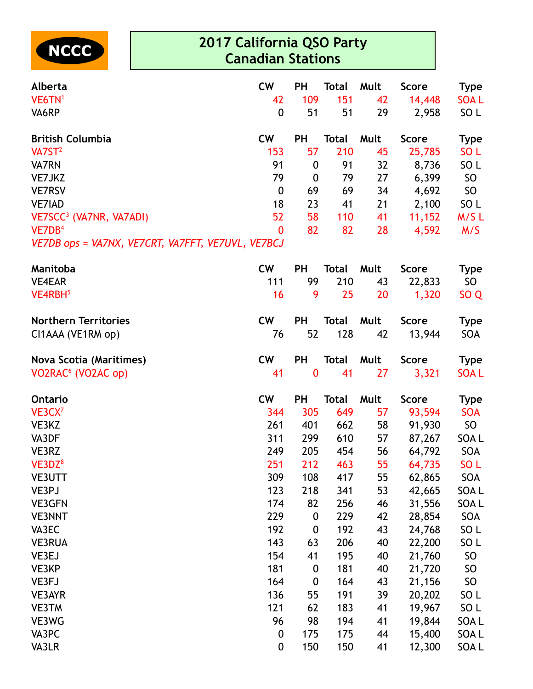

## **2017 California QSO Party Canadian Stations**

| Alberta                                           | <b>CW</b>        | <b>PH</b>        | <b>Total</b> | Mult | <b>Score</b> | <b>Type</b>      |
|---------------------------------------------------|------------------|------------------|--------------|------|--------------|------------------|
| VE6TN <sup>1</sup>                                | 42               | 109              | 151          | 42   | 14,448       | <b>SOAL</b>      |
| VA6RP                                             | $\mathbf 0$      | 51               | 51           | 29   | 2,958        | SO L             |
| <b>British Columbia</b>                           | <b>CW</b>        | <b>PH</b>        | <b>Total</b> | Mult | <b>Score</b> | <b>Type</b>      |
| $V\text{A}75T^2$                                  | 153              | 57               | 210          | 45   | 25,785       | SO <sub>L</sub>  |
| <b>VA7RN</b>                                      | 91               | $\boldsymbol{0}$ | 91           | 32   | 8,736        | SO <sub>L</sub>  |
| VE7JKZ                                            | 79               | $\mathbf{0}$     | 79           | 27   | 6,399        | SO <sub>1</sub>  |
| <b>VE7RSV</b>                                     | $\boldsymbol{0}$ | 69               | 69           | 34   | 4,692        | SO               |
| <b>VE7IAD</b>                                     | 18               | 23               | 41           | 21   | 2,100        | SO L             |
| VE7SCC <sup>3</sup> (VA7NR, VA7ADI)               | 52               | 58               | 110          | 41   | 11,152       | M/SL             |
| VE7DB <sup>4</sup>                                | $\mathbf{0}$     | 82               | 82           | 28   | 4,592        | M/S              |
| VE7DB ops = VA7NX, VE7CRT, VA7FFT, VE7UVL, VE7BCJ |                  |                  |              |      |              |                  |
| Manitoba                                          | <b>CW</b>        | <b>PH</b>        | <b>Total</b> | Mult | <b>Score</b> | <b>Type</b>      |
| <b>VE4EAR</b>                                     | 111              | 99               | 210          | 43   | 22,833       | SO               |
| VE4RBH <sup>5</sup>                               | 16               | 9                | 25           | 20   | 1,320        | SO <sub>Q</sub>  |
| <b>Northern Territories</b>                       | <b>CW</b>        | <b>PH</b>        | <b>Total</b> | Mult | <b>Score</b> | <b>Type</b>      |
| CI1AAA (VE1RM op)                                 | 76               | 52               | 128          | 42   | 13,944       | <b>SOA</b>       |
| <b>Nova Scotia (Maritimes)</b>                    | <b>CW</b>        | <b>PH</b>        | <b>Total</b> | Mult | <b>Score</b> | <b>Type</b>      |
| VO2RAC <sup>6</sup> (VO2AC op)                    | 41               | $\boldsymbol{0}$ | 41           | 27   | 3,321        | <b>SOAL</b>      |
| <b>Ontario</b>                                    | cw               | <b>PH</b>        | <b>Total</b> | Mult | <b>Score</b> | <b>Type</b>      |
| VE3CX <sup>7</sup>                                | 344              | 305              | 649          | 57   | 93,594       | <b>SOA</b>       |
| VE3KZ                                             | 261              | 401              | 662          | 58   | 91,930       | SO               |
| VA3DF                                             | 311              | 299              | 610          | 57   | 87,267       | SOA L            |
| VE3RZ                                             | 249              | 205              | 454          | 56   | 64,792       | SOA              |
| VE3DZ <sup>8</sup>                                | 251              | 212              | 463          | 55   | 64,735       | SO <sub>L</sub>  |
| <b>VE3UTT</b>                                     | 309              | 108              | 417          | 55   | 62,865       | SOA              |
| VE3PJ                                             | 123              | 218              | 341          | 53   | 42,665       | SOA L            |
| <b>VE3GFN</b>                                     | 174              | 82               | 256          | 46   | 31,556       | SOA L            |
| <b>VE3NNT</b>                                     | 229              | $\boldsymbol{0}$ | 229          | 42   | 28,854       | SOA              |
| VA3EC                                             | 192              | $\boldsymbol{0}$ | 192          | 43   | 24,768       | SO <sub>L</sub>  |
| <b>VE3RUA</b>                                     | 143              | 63               | 206          | 40   | 22,200       | SO <sub>L</sub>  |
| VE3EJ                                             | 154              | 41               | 195          | 40   | 21,760       | SO               |
| VE3KP                                             | 181              | $\boldsymbol{0}$ | 181          | 40   | 21,720       | SO               |
| VE3FJ                                             | 164              | $\boldsymbol{0}$ | 164          | 43   | 21,156       | SO               |
| VE3AYR                                            | 136              | 55               | 191          | 39   | 20,202       | SO <sub>L</sub>  |
| <b>VE3TM</b>                                      | 121              | 62               | 183          | 41   | 19,967       | SO L             |
| VE3WG                                             | 96               | 98               | 194          | 41   | 19,844       | SOA L            |
| VA3PC                                             | $\boldsymbol{0}$ | 175              | 175          | 44   | 15,400       | SOA L            |
| VA3LR                                             | 0                | 150              | 150          | 41   | 12,300       | SOA <sub>L</sub> |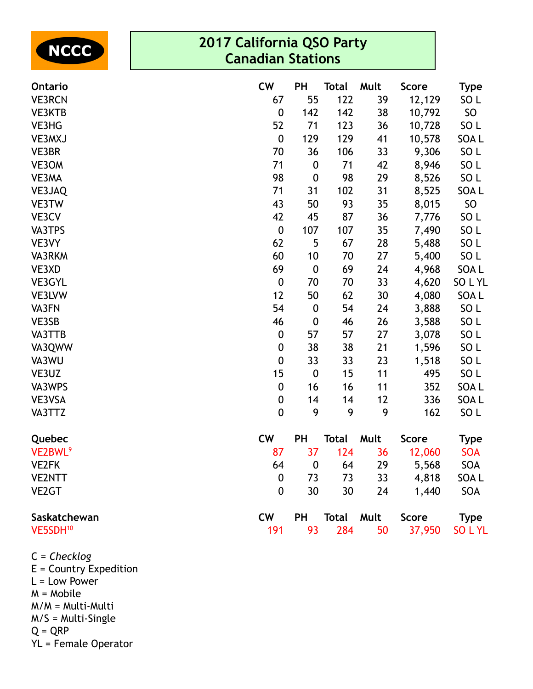| NCCC |
|------|
|------|

## **2017 California QSO Party Canadian Stations**

| <b>Ontario</b>       | <b>CW</b>        | <b>PH</b>        | <b>Total</b>      | Mult | <b>Score</b> | <b>Type</b>     |
|----------------------|------------------|------------------|-------------------|------|--------------|-----------------|
| <b>VE3RCN</b>        | 67               | 55               | 122               | 39   | 12,129       | SO <sub>L</sub> |
| VE3KTB               | $\boldsymbol{0}$ | 142              | 142               | 38   | 10,792       | <b>SO</b>       |
| VE3HG                | 52               | 71               | 123               | 36   | 10,728       | SO <sub>L</sub> |
| VE3MXJ               | $\pmb{0}$        | 129              | 129               | 41   | 10,578       | SOA L           |
| VE3BR                | 70               | 36               | 106               | 33   | 9,306        | SO <sub>L</sub> |
| VE3OM                | 71               | $\boldsymbol{0}$ | 71                | 42   | 8,946        | SO <sub>L</sub> |
| VE3MA                | 98               | $\boldsymbol{0}$ | 98                | 29   | 8,526        | SO <sub>L</sub> |
| VE3JAQ               | 71               | 31               | 102               | 31   | 8,525        | SOA L           |
| VE3TW                | 43               | 50               | 93                | 35   | 8,015        | SO              |
| VE3CV                | 42               | 45               | 87                | 36   | 7,776        | SO <sub>L</sub> |
| VA3TPS               | $\boldsymbol{0}$ | 107              | 107               | 35   | 7,490        | SO <sub>L</sub> |
| VE3VY                | 62               | 5                | 67                | 28   | 5,488        | SO <sub>L</sub> |
| VA3RKM               | 60               | 10               | 70                | 27   | 5,400        | SO <sub>L</sub> |
| VE3XD                | 69               | $\boldsymbol{0}$ | 69                | 24   | 4,968        | SOA L           |
| VE3GYL               | $\boldsymbol{0}$ | 70               | 70                | 33   | 4,620        | SOLYL           |
| VE3LVW               | 12               | 50               | 62                | 30   | 4,080        | SOA L           |
| VA3FN                | 54               | $\boldsymbol{0}$ | 54                | 24   | 3,888        | SO <sub>L</sub> |
| VE3SB                | 46               | $\boldsymbol{0}$ | 46                | 26   | 3,588        | SO <sub>L</sub> |
| VA3TTB               | $\boldsymbol{0}$ | 57               | 57                | 27   | 3,078        | SO <sub>L</sub> |
| VA3QWW               | $\pmb{0}$        | 38               | 38                | 21   | 1,596        | SO <sub>L</sub> |
| VA3WU                | $\boldsymbol{0}$ | 33               | 33                | 23   | 1,518        | SO <sub>L</sub> |
| VE3UZ                | 15               | $\boldsymbol{0}$ | 15                | 11   | 495          | SO <sub>L</sub> |
| VA3WPS               | $\boldsymbol{0}$ | 16               | 16                | 11   | 352          | SOA L           |
| VE3VSA               | $\pmb{0}$        | 14               | 14                | 12   | 336          | SOA L           |
| VA3TTZ               | $\mathbf 0$      | 9                | 9                 | 9    | 162          | SO <sub>L</sub> |
| Quebec               | <b>CW</b>        | <b>PH</b>        | Total             | Mult | <b>Score</b> | <b>Type</b>     |
| VE2BWL <sup>9</sup>  | 87               | 37               | 124               | 36   | 12,060       | <b>SOA</b>      |
| <b>VE2FK</b>         | 64               | $\boldsymbol{0}$ | 64                | 29   | 5,568        | <b>SOA</b>      |
| <b>VE2NTT</b>        | 0                | 73               | 73                | 33   | 4,818        | SOA L           |
| VE <sub>2</sub> GT   | $\mathbf 0$      | 30               | 30                | 24   | 1,440        | <b>SOA</b>      |
| Saskatchewan         | <b>CW</b>        | PH               | <b>Total Mult</b> |      | Score        | <b>Type</b>     |
| VE5SDH <sup>10</sup> | 191              | 93               | 284               | 50   | 37,950       | SO L YL         |

- C = *Checklog* E = Country Expedition  $L =$  Low Power M = Mobile M/M = Multi-Multi M/S = Multi-Single  $Q = QRP$
- YL = Female Operator